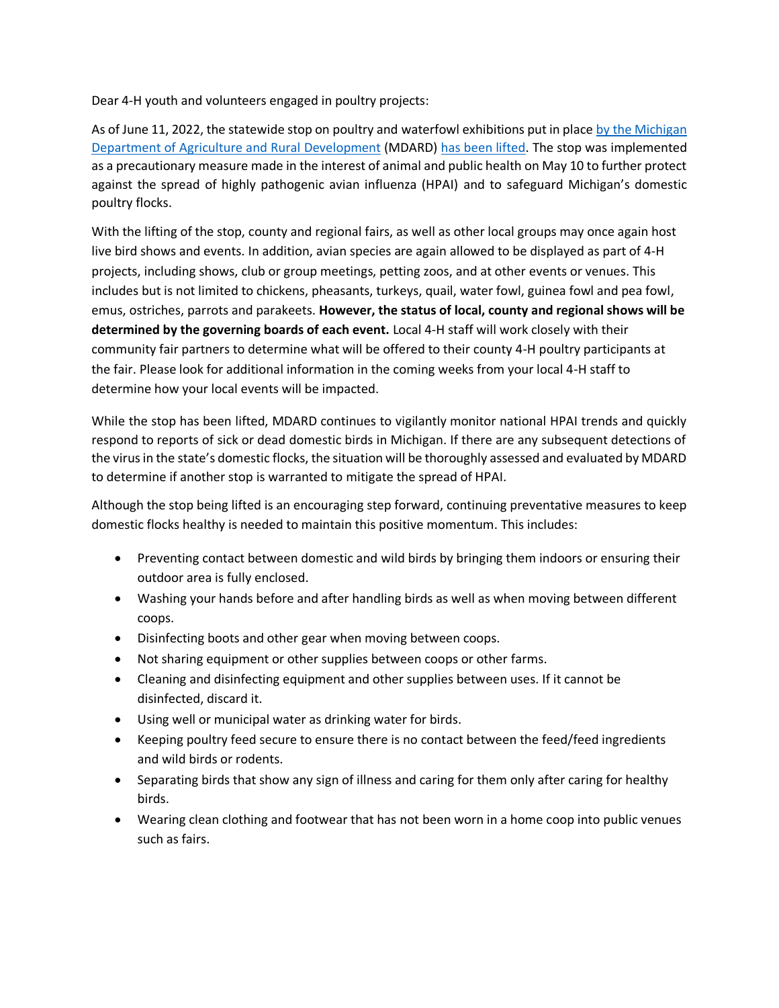Dear 4-H youth and volunteers engaged in poultry projects:

As of June 11, 2022, the statewide stop on poultry and waterfowl exhibitions put in place by the Michigan Department of Agriculture and Rural Development (MDARD) has been lifted. The stop was implemented as a precautionary measure made in the interest of animal and public health on May 10 to further protect against the spread of highly pathogenic avian influenza (HPAI) and to safeguard Michigan's domestic poultry flocks.

With the lifting of the stop, county and regional fairs, as well as other local groups may once again host live bird shows and events. In addition, avian species are again allowed to be displayed as part of 4-H projects, including shows, club or group meetings, petting zoos, and at other events or venues. This includes but is not limited to chickens, pheasants, turkeys, quail, water fowl, guinea fowl and pea fowl, emus, ostriches, parrots and parakeets. **However, the status of local, county and regional shows will be determined by the governing boards of each event.** Local 4-H staff will work closely with their community fair partners to determine what will be offered to their county 4-H poultry participants at the fair. Please look for additional information in the coming weeks from your local 4-H staff to determine how your local events will be impacted.

While the stop has been lifted, MDARD continues to vigilantly monitor national HPAI trends and quickly respond to reports of sick or dead domestic birds in Michigan. If there are any subsequent detections of the virus in the state's domestic flocks, the situation will be thoroughly assessed and evaluated by MDARD to determine if another stop is warranted to mitigate the spread of HPAI.

Although the stop being lifted is an encouraging step forward, continuing preventative measures to keep domestic flocks healthy is needed to maintain this positive momentum. This includes:

- Preventing contact between domestic and wild birds by bringing them indoors or ensuring their outdoor area is fully enclosed.
- Washing your hands before and after handling birds as well as when moving between different coops.
- Disinfecting boots and other gear when moving between coops.
- Not sharing equipment or other supplies between coops or other farms.
- Cleaning and disinfecting equipment and other supplies between uses. If it cannot be disinfected, discard it.
- Using well or municipal water as drinking water for birds.
- Keeping poultry feed secure to ensure there is no contact between the feed/feed ingredients and wild birds or rodents.
- Separating birds that show any sign of illness and caring for them only after caring for healthy birds.
- Wearing clean clothing and footwear that has not been worn in a home coop into public venues such as fairs.